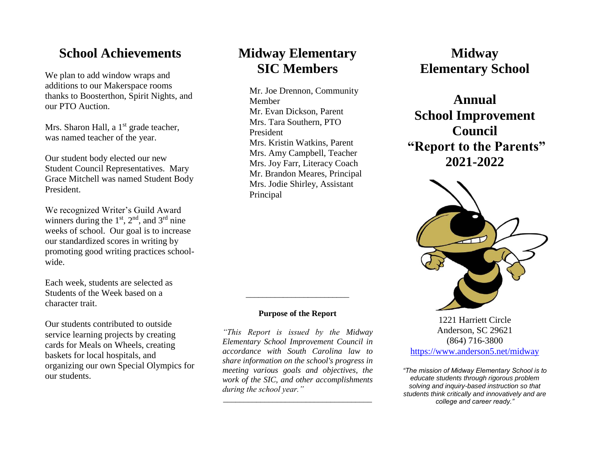## **School Achievements**

We plan to add window wraps and additions to our Makerspace rooms thanks to Boosterthon, Spirit Nights, and our PTO Auction.

Mrs. Sharon Hall, a  $1<sup>st</sup>$  grade teacher, was named teacher of the year.

Our student body elected our new Student Council Representatives. Mary Grace Mitchell was named Student Body President.

We recognized Writer's Guild Award winners during the  $1<sup>st</sup>$ ,  $2<sup>nd</sup>$ , and  $3<sup>rd</sup>$  nine weeks of school. Our goal is to increase our standardized scores in writing by promoting good writing practices schoolwide.

Each week, students are selected as Students of the Week based on a character trait.

Our students contributed to outside service learning projects by creating cards for Meals on Wheels, creating baskets for local hospitals, and organizing our own Special Olympics for our students.

# **Midway Elementary SIC Members**

Mr. Joe Drennon, Community Member Mr. Evan Dickson, Parent Mrs. Tara Southern, PTO President Mrs. Kristin Watkins, Parent Mrs. Amy Campbell, Teacher Mrs. Joy Farr, Literacy Coach Mr. Brandon Meares, Principal Mrs. Jodie Shirley, Assistant Principal

#### **Purpose of the Report**

*\_\_\_\_\_\_\_\_\_\_\_\_\_\_\_\_\_\_\_\_\_\_\_\_\_*

*"This Report is issued by the Midway Elementary School Improvement Council in accordance with South Carolina law to share information on the school's progress in meeting various goals and objectives, the work of the SIC, and other accomplishments during the school year."*

*\_\_\_\_\_\_\_\_\_\_\_\_\_\_\_\_\_\_\_\_\_\_\_\_\_\_\_\_\_\_\_\_\_\_\_\_*

# **Midway Elementary School**

**Annual School Improvement Council "Report to the Parents" 2021-2022**



1221 Harriett Circle Anderson, SC 29621 (864) 716-3800 <https://www.anderson5.net/midway>

*"The mission of Midway Elementary School is to educate students through rigorous problem solving and inquiry-based instruction so that students think critically and innovatively and are college and career ready."*